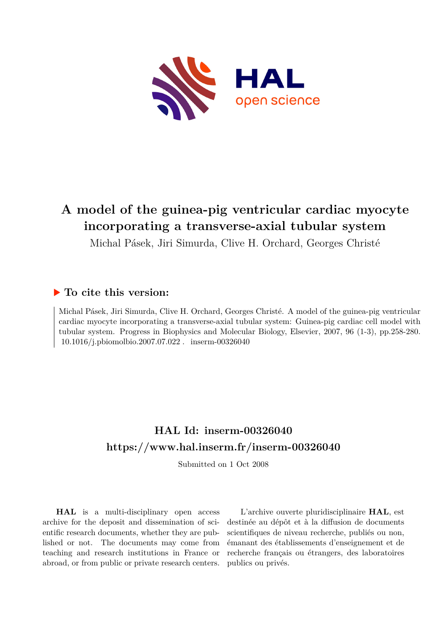

## **A model of the guinea-pig ventricular cardiac myocyte incorporating a transverse-axial tubular system**

Michal Pásek, Jiri Simurda, Clive H. Orchard, Georges Christé

## **To cite this version:**

Michal Pásek, Jiri Simurda, Clive H. Orchard, Georges Christé. A model of the guinea-pig ventricular cardiac myocyte incorporating a transverse-axial tubular system: Guinea-pig cardiac cell model with tubular system. Progress in Biophysics and Molecular Biology, Elsevier, 2007, 96 (1-3), pp.258-280. 10.1016/j.pbiomolbio.2007.07.022. inserm-00326040

## **HAL Id: inserm-00326040 <https://www.hal.inserm.fr/inserm-00326040>**

Submitted on 1 Oct 2008

**HAL** is a multi-disciplinary open access archive for the deposit and dissemination of scientific research documents, whether they are published or not. The documents may come from teaching and research institutions in France or abroad, or from public or private research centers.

L'archive ouverte pluridisciplinaire **HAL**, est destinée au dépôt et à la diffusion de documents scientifiques de niveau recherche, publiés ou non, émanant des établissements d'enseignement et de recherche français ou étrangers, des laboratoires publics ou privés.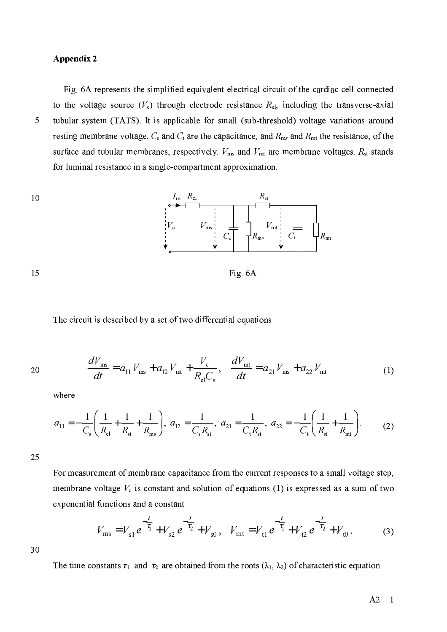## **Appendix 2**

5

Fig. 6A represents the simplified equivalent electrical circuit of the cardiac cell connected to the voltage source  $(V_c)$  through electrode resistance  $R_{el}$ , including the transverse-axial tubular system (TATS). It is applicable for small (sub-threshold) voltage variations around resting membrane voltage.  $C_s$  and  $C_t$  are the capacitance, and  $R_{ms}$  and  $R_{mt}$  the resistance, of the surface and tubular membranes, respectively.  $V_{\text{ms}}$  and  $V_{\text{mt}}$  are membrane voltages.  $R_{\text{st}}$  stands for luminal resistance in a single-compartment approximation.



Fig. 6A

The circuit is described by a set of two differential equations

20

15

$$
\frac{dV_{\text{ms}}}{dt} = a_{11} V_{\text{ms}} + a_{12} V_{\text{mt}} + \frac{V_{\text{c}}}{R_{\text{el}} C_{\text{s}}}, \quad \frac{dV_{\text{mt}}}{dt} = a_{21} V_{\text{ms}} + a_{22} V_{\text{mt}}
$$
(1)

where

$$
a_{11} = -\frac{1}{C_s} \left( \frac{1}{R_{el}} + \frac{1}{R_{st}} + \frac{1}{R_{ms}} \right), \ a_{12} = \frac{1}{C_s R_{st}}, \ a_{21} = \frac{1}{C_t R_{st}}, \ a_{22} = -\frac{1}{C_t} \left( \frac{1}{R_{st}} + \frac{1}{R_{mt}} \right).
$$
 (2)

25

For measurement of membrane capacitance from the current responses to a small voltage step, membrane voltage  $V_c$  is constant and solution of equations (1) is expressed as a sum of two exponential functions and a constant

$$
V_{\text{ms}} = V_{\text{sl}} e^{-\frac{t}{\tau_1}} + V_{\text{sl}} e^{-\frac{t}{\tau_2}} + V_{\text{sl}}, \quad V_{\text{mt}} = V_{\text{tl}} e^{-\frac{t}{\tau_1}} + V_{\text{tl}} e^{-\frac{t}{\tau_2}} + V_{\text{tl}}.
$$
 (3)

30

The time constants  $\tau_1$  and  $\tau_2$  are obtained from the roots  $(\lambda_1, \lambda_2)$  of characteristic equation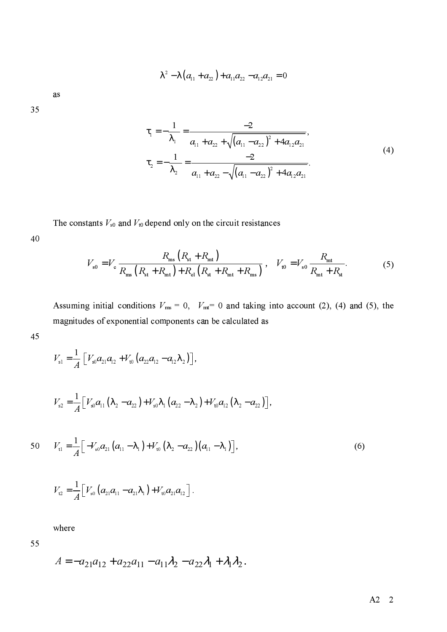$$
\lambda^2 - \lambda (a_{11} + a_{22}) + a_{11} a_{22} - a_{12} a_{21} = 0
$$

as

35

$$
\tau_{1} = -\frac{1}{\lambda_{1}} = \frac{-2}{a_{11} + a_{22} + \sqrt{(a_{11} - a_{22})^{2} + 4a_{12}a_{21}}},
$$
\n
$$
\tau_{2} = -\frac{1}{\lambda_{2}} = \frac{-2}{a_{11} + a_{22} - \sqrt{(a_{11} - a_{22})^{2} + 4a_{12}a_{21}}}.
$$
\n(4)

The constants  $V_{s0}$  and  $V_{t0}$  depend only on the circuit resistances

$$
V_{s0} = V_c \frac{R_{ms} (R_{st} + R_{mt})}{R_{ms} (R_{st} + R_{mt}) + R_{el} (R_{st} + R_{mt} + R_{ms})}, \quad V_{t0} = V_{s0} \frac{R_{mt}}{R_{mt} + R_{st}}.
$$
 (5)

Assuming initial conditions  $V_{\text{ms}} = 0$ ,  $V_{\text{mt}} = 0$  and taking into account (2), (4) and (5), the magnitudes of exponential components can be calculated as

$$
45\,
$$

40

$$
V_{\rm sl} = \frac{1}{A} \left[ V_{\rm s0} a_{21} a_{12} + V_{\rm t0} \left( a_{22} a_{12} - a_{12} \lambda_2 \right) \right],
$$

$$
V_{s2} = \frac{1}{A} \Big[ V_{s0} a_{11} (\lambda_2 - a_{22}) + V_{s0} \lambda_1 (a_{22} - \lambda_2) + V_{t0} a_{12} (\lambda_2 - a_{22}) \Big].
$$

50 
$$
V_{t1} = \frac{1}{A} \Big[ -V_{s0} a_{21} \big( a_{11} - \lambda_1 \big) + V_{t0} \big( \lambda_2 - a_{22} \big) \big( a_{11} - \lambda_1 \big) \Big],
$$
 (6)

$$
V_{12} = \frac{1}{A} \Big[ V_{s0} \left( a_{21} a_{11} - a_{21} \lambda_1 \right) + V_{t0} a_{21} a_{12} \Big].
$$

where

55

$$
A = -a_{21}a_{12} + a_{22}a_{11} - a_{11}\lambda_2 - a_{22}\lambda_1 + \lambda_1\lambda_2.
$$